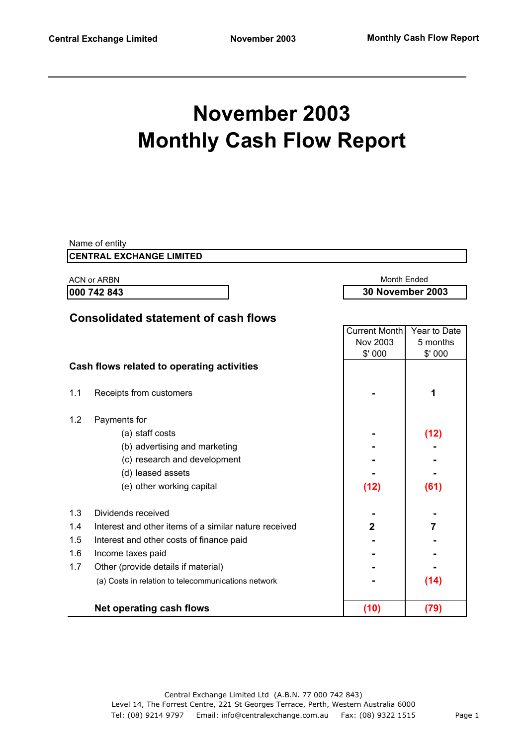# **November 2003 Monthly Cash Flow Report**

|     | Name of entity<br><b>CENTRAL EXCHANGE LIMITED</b>     |                      |                                               |  |
|-----|-------------------------------------------------------|----------------------|-----------------------------------------------|--|
|     |                                                       |                      |                                               |  |
|     | <b>ACN or ARBN</b><br>000 742 843                     |                      | <b>Month Ended</b><br><b>30 November 2003</b> |  |
|     |                                                       |                      |                                               |  |
|     | <b>Consolidated statement of cash flows</b>           |                      |                                               |  |
|     |                                                       | <b>Current Month</b> | Year to Date                                  |  |
|     |                                                       | Nov 2003             | 5 months                                      |  |
|     |                                                       | \$'000               | \$' 000                                       |  |
|     | Cash flows related to operating activities            |                      |                                               |  |
| 1.1 | Receipts from customers                               |                      | 1                                             |  |
|     |                                                       |                      |                                               |  |
| 1.2 | Payments for                                          |                      |                                               |  |
|     | (a) staff costs                                       |                      | (12)                                          |  |
|     | (b) advertising and marketing                         |                      |                                               |  |
|     | (c) research and development                          |                      |                                               |  |
|     | (d) leased assets                                     |                      |                                               |  |
|     | (e) other working capital                             | (12)                 | (61)                                          |  |
|     |                                                       |                      |                                               |  |
| 1.3 | Dividends received                                    |                      |                                               |  |
| 1.4 | Interest and other items of a similar nature received | $\overline{2}$       | 7                                             |  |
| 1.5 | Interest and other costs of finance paid              |                      |                                               |  |
| 1.6 | Income taxes paid                                     |                      |                                               |  |
| 1.7 | Other (provide details if material)                   |                      |                                               |  |
|     | (a) Costs in relation to telecommunications network   |                      | (14)                                          |  |
|     |                                                       |                      |                                               |  |
|     | <b>Net operating cash flows</b>                       | (10)                 | (79)                                          |  |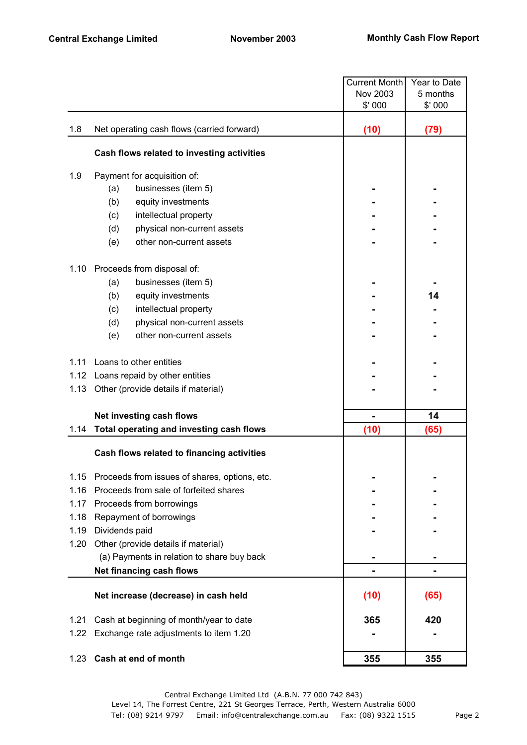|      | <b>Current Month</b>                          |          | Year to Date |
|------|-----------------------------------------------|----------|--------------|
|      |                                               | Nov 2003 | 5 months     |
|      |                                               | \$' 000  | \$'000       |
| 1.8  | Net operating cash flows (carried forward)    | (10)     | (79)         |
|      | Cash flows related to investing activities    |          |              |
| 1.9  | Payment for acquisition of:                   |          |              |
|      | businesses (item 5)<br>(a)                    |          |              |
|      | (b)<br>equity investments                     |          |              |
|      | (c)<br>intellectual property                  |          |              |
|      | (d)<br>physical non-current assets            |          |              |
|      | other non-current assets<br>(e)               |          |              |
| 1.10 | Proceeds from disposal of:                    |          |              |
|      | businesses (item 5)<br>(a)                    |          |              |
|      | (b)<br>equity investments                     |          | 14           |
|      | (c)<br>intellectual property                  |          |              |
|      | physical non-current assets<br>(d)            |          |              |
|      | other non-current assets<br>(e)               |          |              |
| 1.11 | Loans to other entities                       |          |              |
|      | 1.12 Loans repaid by other entities           |          |              |
| 1.13 | Other (provide details if material)           |          |              |
|      | Net investing cash flows                      | -        | 14           |
| 1.14 | Total operating and investing cash flows      | (10)     | (65)         |
|      | Cash flows related to financing activities    |          |              |
| 1.15 | Proceeds from issues of shares, options, etc. |          |              |
| 1.16 | Proceeds from sale of forfeited shares        |          |              |
| 1.17 | Proceeds from borrowings                      |          |              |
| 1.18 | Repayment of borrowings                       |          |              |
| 1.19 | Dividends paid                                |          |              |
| 1.20 | Other (provide details if material)           |          |              |
|      | (a) Payments in relation to share buy back    |          |              |
|      | Net financing cash flows                      |          |              |
|      | Net increase (decrease) in cash held          | (10)     | (65)         |
| 1.21 | Cash at beginning of month/year to date       | 365      | 420          |
| 1.22 | Exchange rate adjustments to item 1.20        |          |              |
| 1.23 | Cash at end of month                          | 355      | 355          |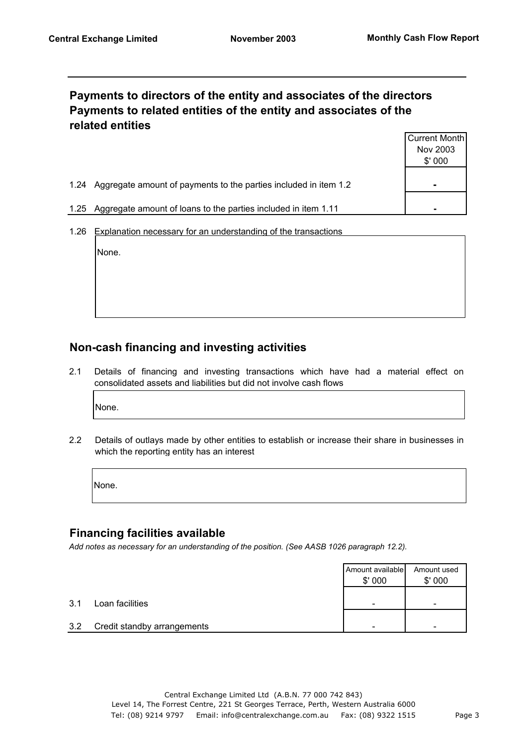### **Payments to directors of the entity and associates of the directors Payments to related entities of the entity and associates of the related entities**

|                                                                          | Current Month  |
|--------------------------------------------------------------------------|----------------|
|                                                                          | Nov 2003       |
|                                                                          | \$'000         |
|                                                                          |                |
| Aggregate amount of payments to the parties included in item 1.2<br>1.24 | $\blacksquare$ |
|                                                                          |                |
| Aggregate amount of loans to the parties included in item 1.11<br>1.25   |                |

1.26 Explanation necessary for an understanding of the transactions

None.

## **Non-cash financing and investing activities**

2.1 Details of financing and investing transactions which have had a material effect on consolidated assets and liabilities but did not involve cash flows

None.

2.2 Details of outlays made by other entities to establish or increase their share in businesses in which the reporting entity has an interest

None.

### **Financing facilities available**

*Add notes as necessary for an understanding of the position. (See AASB 1026 paragraph 12.2).*

|     |                             | Amount available<br>\$'000 | Amount used<br>\$'000 |
|-----|-----------------------------|----------------------------|-----------------------|
| 3.1 | Loan facilities             | -                          | -                     |
| 3.2 | Credit standby arrangements | -                          | -                     |